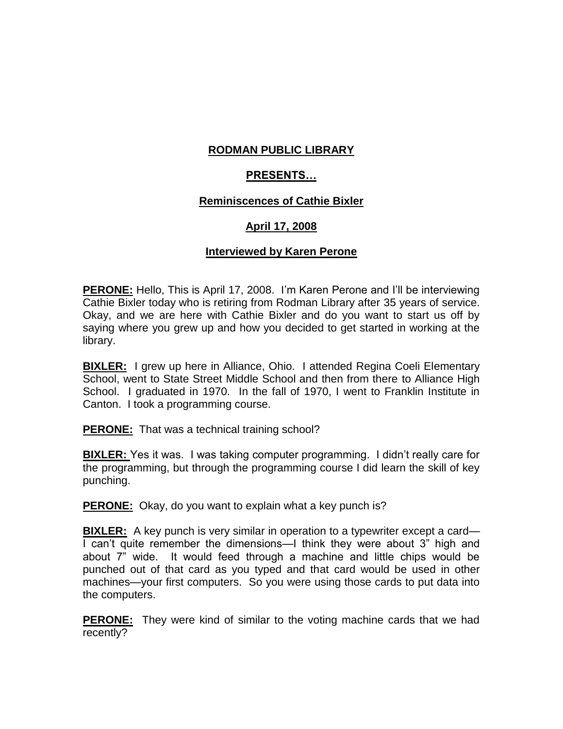# **RODMAN PUBLIC LIBRARY**

# **PRESENTS…**

## **Reminiscences of Cathie Bixler**

# **April 17, 2008**

### **Interviewed by Karen Perone**

**PERONE:** Hello, This is April 17, 2008. I'm Karen Perone and I'll be interviewing Cathie Bixler today who is retiring from Rodman Library after 35 years of service. Okay, and we are here with Cathie Bixler and do you want to start us off by saying where you grew up and how you decided to get started in working at the library.

**BIXLER:** I grew up here in Alliance, Ohio. I attended Regina Coeli Elementary School, went to State Street Middle School and then from there to Alliance High School. I graduated in 1970. In the fall of 1970, I went to Franklin Institute in Canton. I took a programming course.

**PERONE:** That was a technical training school?

**BIXLER:** Yes it was. I was taking computer programming. I didn't really care for the programming, but through the programming course I did learn the skill of key punching.

**PERONE:** Okay, do you want to explain what a key punch is?

**BIXLER:** A key punch is very similar in operation to a typewriter except a card— I can't quite remember the dimensions—I think they were about 3" high and about 7" wide. It would feed through a machine and little chips would be punched out of that card as you typed and that card would be used in other machines—your first computers. So you were using those cards to put data into the computers.

**PERONE:** They were kind of similar to the voting machine cards that we had recently?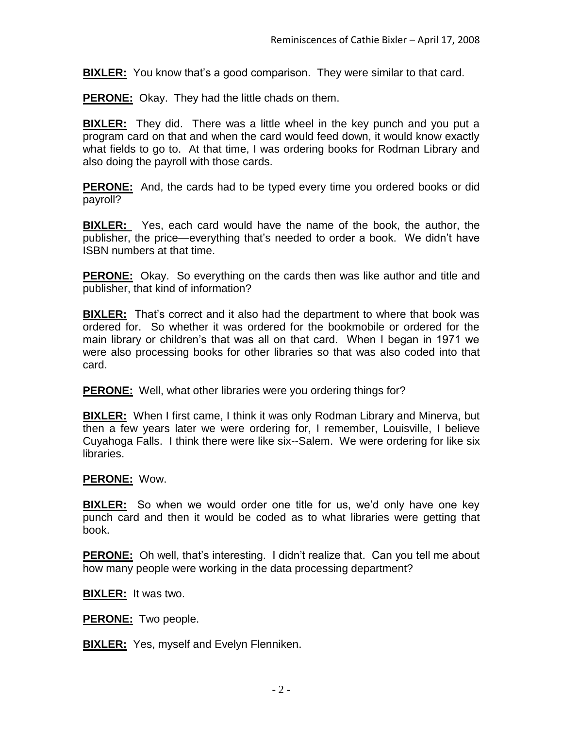**BIXLER:** You know that's a good comparison. They were similar to that card.

**PERONE:** Okay. They had the little chads on them.

**BIXLER:** They did. There was a little wheel in the key punch and you put a program card on that and when the card would feed down, it would know exactly what fields to go to. At that time, I was ordering books for Rodman Library and also doing the payroll with those cards.

**PERONE:** And, the cards had to be typed every time you ordered books or did payroll?

**BIXLER:** Yes, each card would have the name of the book, the author, the publisher, the price—everything that's needed to order a book. We didn't have ISBN numbers at that time.

**PERONE:** Okay. So everything on the cards then was like author and title and publisher, that kind of information?

**BIXLER:** That's correct and it also had the department to where that book was ordered for. So whether it was ordered for the bookmobile or ordered for the main library or children's that was all on that card. When I began in 1971 we were also processing books for other libraries so that was also coded into that card.

**PERONE:** Well, what other libraries were you ordering things for?

**BIXLER:** When I first came, I think it was only Rodman Library and Minerva, but then a few years later we were ordering for, I remember, Louisville, I believe Cuyahoga Falls. I think there were like six--Salem. We were ordering for like six libraries.

## **PERONE:** Wow.

**BIXLER:** So when we would order one title for us, we'd only have one key punch card and then it would be coded as to what libraries were getting that book.

**PERONE:** Oh well, that's interesting. I didn't realize that. Can you tell me about how many people were working in the data processing department?

**BIXLER:** It was two.

**PERONE:** Two people.

**BIXLER:** Yes, myself and Evelyn Flenniken.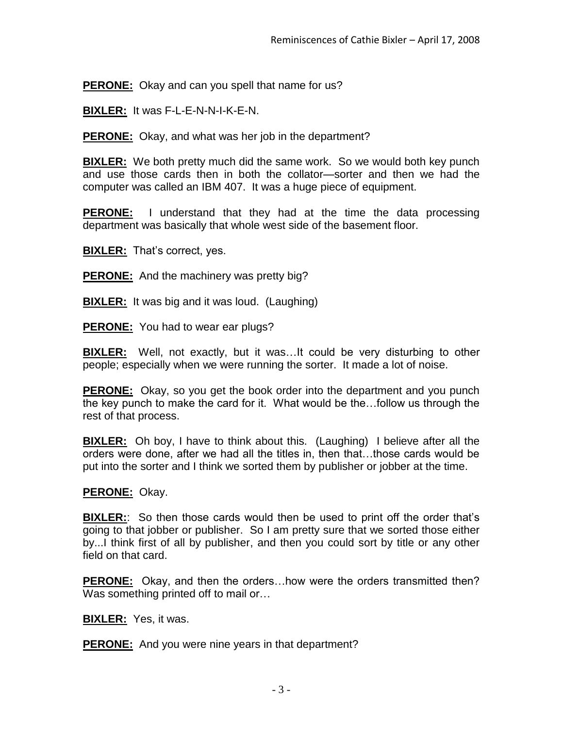**PERONE:** Okay and can you spell that name for us?

**BIXLER:** It was F-L-E-N-N-I-K-E-N.

**PERONE:** Okay, and what was her job in the department?

**BIXLER:** We both pretty much did the same work. So we would both key punch and use those cards then in both the collator—sorter and then we had the computer was called an IBM 407. It was a huge piece of equipment.

**PERONE:** I understand that they had at the time the data processing department was basically that whole west side of the basement floor.

**BIXLER:** That's correct, yes.

**PERONE:** And the machinery was pretty big?

**BIXLER:** It was big and it was loud. (Laughing)

**PERONE:** You had to wear ear plugs?

**BIXLER:** Well, not exactly, but it was…It could be very disturbing to other people; especially when we were running the sorter. It made a lot of noise.

**PERONE:** Okay, so you get the book order into the department and you punch the key punch to make the card for it. What would be the…follow us through the rest of that process.

**BIXLER:** Oh boy, I have to think about this. (Laughing) I believe after all the orders were done, after we had all the titles in, then that…those cards would be put into the sorter and I think we sorted them by publisher or jobber at the time.

## **PERONE:** Okay.

**BIXLER:**: So then those cards would then be used to print off the order that's going to that jobber or publisher. So I am pretty sure that we sorted those either by...I think first of all by publisher, and then you could sort by title or any other field on that card.

**PERONE:** Okay, and then the orders…how were the orders transmitted then? Was something printed off to mail or...

**BIXLER:** Yes, it was.

**PERONE:** And you were nine years in that department?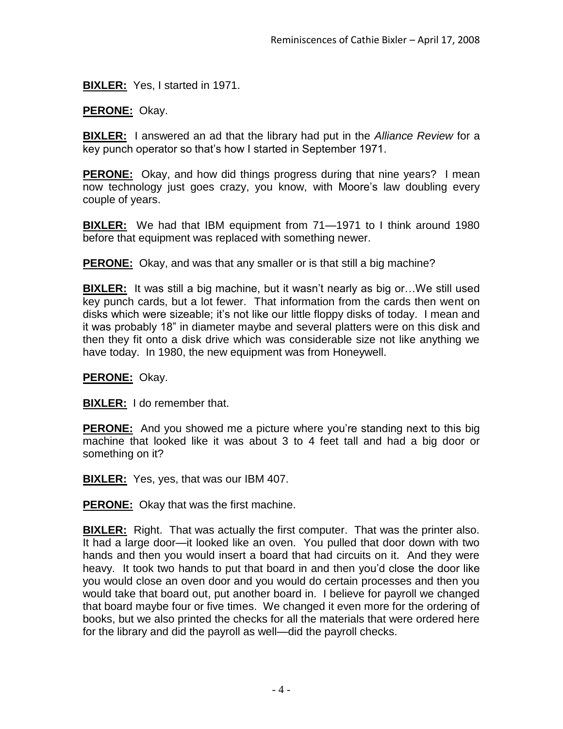**BIXLER:** Yes, I started in 1971.

**PERONE:** Okay.

**BIXLER:** I answered an ad that the library had put in the *Alliance Review* for a key punch operator so that's how I started in September 1971.

**PERONE:** Okay, and how did things progress during that nine years? I mean now technology just goes crazy, you know, with Moore's law doubling every couple of years.

**BIXLER:** We had that IBM equipment from 71—1971 to I think around 1980 before that equipment was replaced with something newer.

**PERONE:** Okay, and was that any smaller or is that still a big machine?

**BIXLER:** It was still a big machine, but it wasn't nearly as big or…We still used key punch cards, but a lot fewer. That information from the cards then went on disks which were sizeable; it's not like our little floppy disks of today. I mean and it was probably 18" in diameter maybe and several platters were on this disk and then they fit onto a disk drive which was considerable size not like anything we have today. In 1980, the new equipment was from Honeywell.

## **PERONE:** Okay.

**BIXLER:** I do remember that.

**PERONE:** And you showed me a picture where you're standing next to this big machine that looked like it was about 3 to 4 feet tall and had a big door or something on it?

**BIXLER:** Yes, yes, that was our IBM 407.

**PERONE:** Okay that was the first machine.

**BIXLER:** Right. That was actually the first computer. That was the printer also. It had a large door—it looked like an oven. You pulled that door down with two hands and then you would insert a board that had circuits on it. And they were heavy. It took two hands to put that board in and then you'd close the door like you would close an oven door and you would do certain processes and then you would take that board out, put another board in. I believe for payroll we changed that board maybe four or five times. We changed it even more for the ordering of books, but we also printed the checks for all the materials that were ordered here for the library and did the payroll as well—did the payroll checks.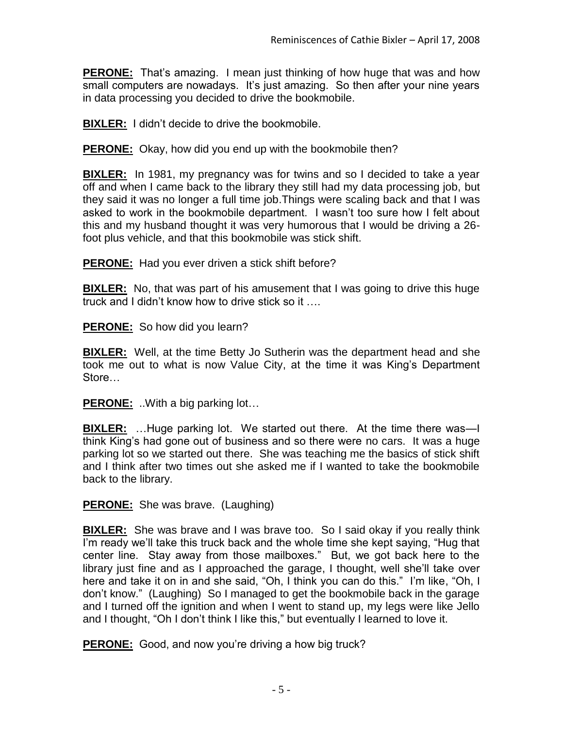**PERONE:** That's amazing. I mean just thinking of how huge that was and how small computers are nowadays. It's just amazing. So then after your nine years in data processing you decided to drive the bookmobile.

**BIXLER:** I didn't decide to drive the bookmobile.

**PERONE:** Okay, how did you end up with the bookmobile then?

**BIXLER:** In 1981, my pregnancy was for twins and so I decided to take a year off and when I came back to the library they still had my data processing job, but they said it was no longer a full time job.Things were scaling back and that I was asked to work in the bookmobile department. I wasn't too sure how I felt about this and my husband thought it was very humorous that I would be driving a 26 foot plus vehicle, and that this bookmobile was stick shift.

**PERONE:** Had you ever driven a stick shift before?

**BIXLER:** No, that was part of his amusement that I was going to drive this huge truck and I didn't know how to drive stick so it ….

**PERONE:** So how did you learn?

**BIXLER:** Well, at the time Betty Jo Sutherin was the department head and she took me out to what is now Value City, at the time it was King's Department Store…

**PERONE:** ..With a big parking lot…

**BIXLER:** ...Huge parking lot. We started out there. At the time there was—I think King's had gone out of business and so there were no cars. It was a huge parking lot so we started out there. She was teaching me the basics of stick shift and I think after two times out she asked me if I wanted to take the bookmobile back to the library.

**PERONE:** She was brave. (Laughing)

**BIXLER:** She was brave and I was brave too. So I said okay if you really think I'm ready we'll take this truck back and the whole time she kept saying, "Hug that center line. Stay away from those mailboxes." But, we got back here to the library just fine and as I approached the garage, I thought, well she'll take over here and take it on in and she said, "Oh, I think you can do this." I'm like, "Oh, I don't know." (Laughing) So I managed to get the bookmobile back in the garage and I turned off the ignition and when I went to stand up, my legs were like Jello and I thought, "Oh I don't think I like this," but eventually I learned to love it.

**PERONE:** Good, and now you're driving a how big truck?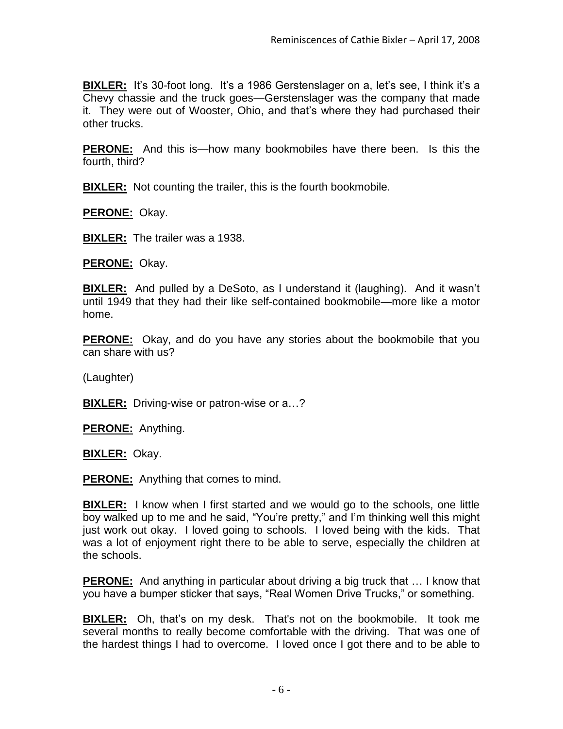**BIXLER:** It's 30-foot long. It's a 1986 Gerstenslager on a, let's see, I think it's a Chevy chassie and the truck goes—Gerstenslager was the company that made it. They were out of Wooster, Ohio, and that's where they had purchased their other trucks.

**PERONE:** And this is—how many bookmobiles have there been. Is this the fourth, third?

**BIXLER:** Not counting the trailer, this is the fourth bookmobile.

**PERONE:** Okay.

**BIXLER:** The trailer was a 1938.

**PERONE:** Okay.

**BIXLER:** And pulled by a DeSoto, as I understand it (laughing). And it wasn't until 1949 that they had their like self-contained bookmobile—more like a motor home.

**PERONE:** Okay, and do you have any stories about the bookmobile that you can share with us?

(Laughter)

**BIXLER:** Driving-wise or patron-wise or a…?

**PERONE:** Anything.

**BIXLER:** Okay.

**PERONE:** Anything that comes to mind.

**BIXLER:** I know when I first started and we would go to the schools, one little boy walked up to me and he said, "You're pretty," and I'm thinking well this might just work out okay. I loved going to schools. I loved being with the kids. That was a lot of enjoyment right there to be able to serve, especially the children at the schools.

**PERONE:** And anything in particular about driving a big truck that … I know that you have a bumper sticker that says, "Real Women Drive Trucks," or something.

**BIXLER:** Oh, that's on my desk. That's not on the bookmobile. It took me several months to really become comfortable with the driving. That was one of the hardest things I had to overcome. I loved once I got there and to be able to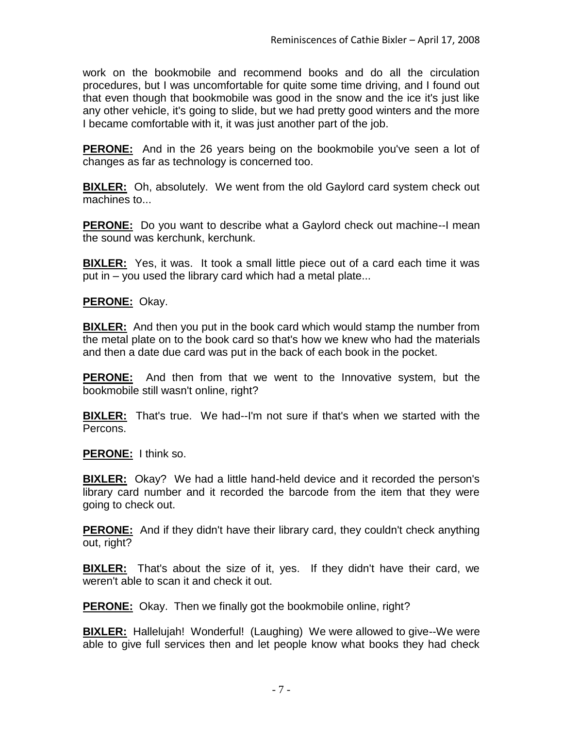work on the bookmobile and recommend books and do all the circulation procedures, but I was uncomfortable for quite some time driving, and I found out that even though that bookmobile was good in the snow and the ice it's just like any other vehicle, it's going to slide, but we had pretty good winters and the more I became comfortable with it, it was just another part of the job.

**PERONE:** And in the 26 years being on the bookmobile you've seen a lot of changes as far as technology is concerned too.

**BIXLER:** Oh, absolutely. We went from the old Gaylord card system check out machines to...

**PERONE:** Do you want to describe what a Gaylord check out machine--I mean the sound was kerchunk, kerchunk.

**BIXLER:** Yes, it was. It took a small little piece out of a card each time it was put in – you used the library card which had a metal plate...

**PERONE:** Okay.

**BIXLER:** And then you put in the book card which would stamp the number from the metal plate on to the book card so that's how we knew who had the materials and then a date due card was put in the back of each book in the pocket.

**PERONE:** And then from that we went to the Innovative system, but the bookmobile still wasn't online, right?

**BIXLER:** That's true. We had--I'm not sure if that's when we started with the Percons.

**PERONE:** I think so.

**BIXLER:** Okay? We had a little hand-held device and it recorded the person's library card number and it recorded the barcode from the item that they were going to check out.

**PERONE:** And if they didn't have their library card, they couldn't check anything out, right?

**BIXLER:** That's about the size of it, yes. If they didn't have their card, we weren't able to scan it and check it out.

**PERONE:** Okay. Then we finally got the bookmobile online, right?

**BIXLER:** Hallelujah! Wonderful! (Laughing) We were allowed to give--We were able to give full services then and let people know what books they had check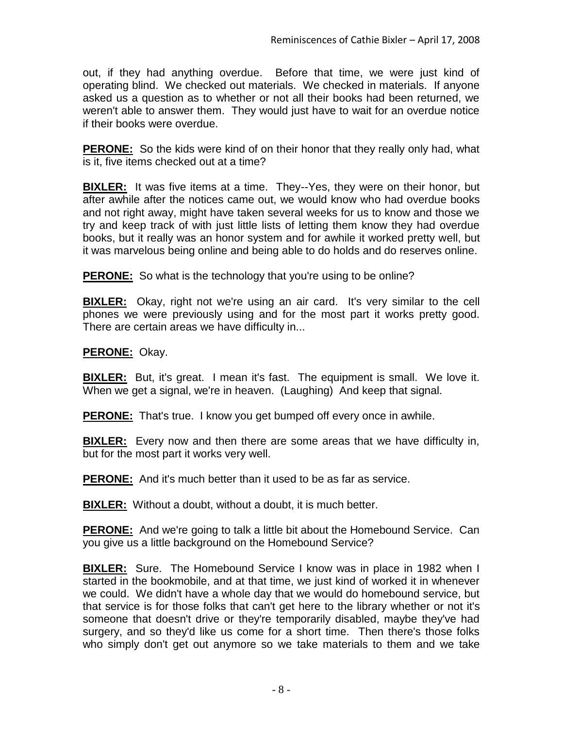out, if they had anything overdue. Before that time, we were just kind of operating blind. We checked out materials. We checked in materials. If anyone asked us a question as to whether or not all their books had been returned, we weren't able to answer them. They would just have to wait for an overdue notice if their books were overdue.

**PERONE:** So the kids were kind of on their honor that they really only had, what is it, five items checked out at a time?

**BIXLER:** It was five items at a time. They--Yes, they were on their honor, but after awhile after the notices came out, we would know who had overdue books and not right away, might have taken several weeks for us to know and those we try and keep track of with just little lists of letting them know they had overdue books, but it really was an honor system and for awhile it worked pretty well, but it was marvelous being online and being able to do holds and do reserves online.

**PERONE:** So what is the technology that you're using to be online?

**BIXLER:** Okay, right not we're using an air card. It's very similar to the cell phones we were previously using and for the most part it works pretty good. There are certain areas we have difficulty in...

# **PERONE:** Okay.

**BIXLER:** But, it's great. I mean it's fast. The equipment is small. We love it. When we get a signal, we're in heaven. (Laughing) And keep that signal.

**PERONE:** That's true. I know you get bumped off every once in awhile.

**BIXLER:** Every now and then there are some areas that we have difficulty in, but for the most part it works very well.

**PERONE:** And it's much better than it used to be as far as service.

**BIXLER:** Without a doubt, without a doubt, it is much better.

**PERONE:** And we're going to talk a little bit about the Homebound Service. Can you give us a little background on the Homebound Service?

**BIXLER:** Sure. The Homebound Service I know was in place in 1982 when I started in the bookmobile, and at that time, we just kind of worked it in whenever we could. We didn't have a whole day that we would do homebound service, but that service is for those folks that can't get here to the library whether or not it's someone that doesn't drive or they're temporarily disabled, maybe they've had surgery, and so they'd like us come for a short time. Then there's those folks who simply don't get out anymore so we take materials to them and we take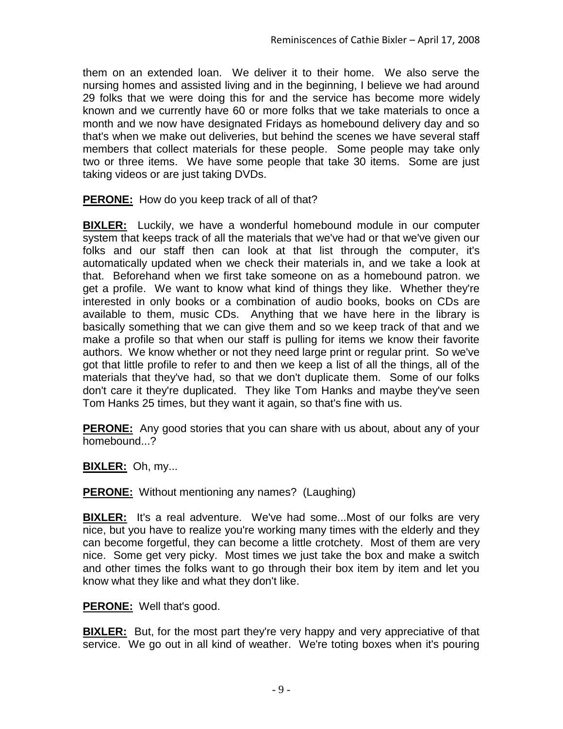them on an extended loan. We deliver it to their home. We also serve the nursing homes and assisted living and in the beginning, I believe we had around 29 folks that we were doing this for and the service has become more widely known and we currently have 60 or more folks that we take materials to once a month and we now have designated Fridays as homebound delivery day and so that's when we make out deliveries, but behind the scenes we have several staff members that collect materials for these people. Some people may take only two or three items. We have some people that take 30 items. Some are just taking videos or are just taking DVDs.

**PERONE:** How do you keep track of all of that?

**BIXLER:** Luckily, we have a wonderful homebound module in our computer system that keeps track of all the materials that we've had or that we've given our folks and our staff then can look at that list through the computer, it's automatically updated when we check their materials in, and we take a look at that. Beforehand when we first take someone on as a homebound patron. we get a profile. We want to know what kind of things they like. Whether they're interested in only books or a combination of audio books, books on CDs are available to them, music CDs. Anything that we have here in the library is basically something that we can give them and so we keep track of that and we make a profile so that when our staff is pulling for items we know their favorite authors. We know whether or not they need large print or regular print. So we've got that little profile to refer to and then we keep a list of all the things, all of the materials that they've had, so that we don't duplicate them. Some of our folks don't care it they're duplicated. They like Tom Hanks and maybe they've seen Tom Hanks 25 times, but they want it again, so that's fine with us.

**PERONE:** Any good stories that you can share with us about, about any of your homebound...?

**BIXLER:** Oh, my...

**PERONE:** Without mentioning any names? (Laughing)

**BIXLER:** It's a real adventure. We've had some...Most of our folks are very nice, but you have to realize you're working many times with the elderly and they can become forgetful, they can become a little crotchety. Most of them are very nice. Some get very picky. Most times we just take the box and make a switch and other times the folks want to go through their box item by item and let you know what they like and what they don't like.

**PERONE:** Well that's good.

**BIXLER:** But, for the most part they're very happy and very appreciative of that service. We go out in all kind of weather. We're toting boxes when it's pouring